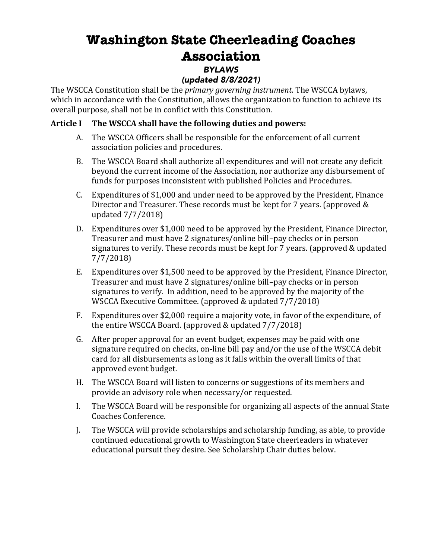# **Washington State Cheerleading Coaches Association** *BYLAWS*

# *(updated 8/8/2021)*

The WSCCA Constitution shall be the *primary governing instrument*. The WSCCA bylaws, which in accordance with the Constitution, allows the organization to function to achieve its overall purpose, shall not be in conflict with this Constitution.

## Article I The WSCCA shall have the following duties and powers:

- A. The WSCCA Officers shall be responsible for the enforcement of all current association policies and procedures.
- B. The WSCCA Board shall authorize all expenditures and will not create any deficit beyond the current income of the Association, nor authorize any disbursement of funds for purposes inconsistent with published Policies and Procedures.
- C. Expenditures of \$1,000 and under need to be approved by the President, Finance Director and Treasurer. These records must be kept for 7 years. (approved  $&$ updated 7/7/2018)
- D. Expenditures over \$1,000 need to be approved by the President, Finance Director, Treasurer and must have 2 signatures/online bill–pay checks or in person signatures to verify. These records must be kept for  $7$  years. (approved  $&$  updated 7/7/2018)
- E. Expenditures over \$1,500 need to be approved by the President, Finance Director, Treasurer and must have 2 signatures/online bill-pay checks or in person signatures to verify. In addition, need to be approved by the majority of the WSCCA Executive Committee. (approved & updated 7/7/2018)
- F. Expenditures over \$2,000 require a majority vote, in favor of the expenditure, of the entire WSCCA Board. (approved & updated  $7/7/2018$ )
- G. After proper approval for an event budget, expenses may be paid with one signature required on checks, on-line bill pay and/or the use of the WSCCA debit card for all disbursements as long as it falls within the overall limits of that approved event budget.
- H. The WSCCA Board will listen to concerns or suggestions of its members and provide an advisory role when necessary/or requested.
- I. The WSCCA Board will be responsible for organizing all aspects of the annual State Coaches Conference.
- J. The WSCCA will provide scholarships and scholarship funding, as able, to provide continued educational growth to Washington State cheerleaders in whatever educational pursuit they desire. See Scholarship Chair duties below.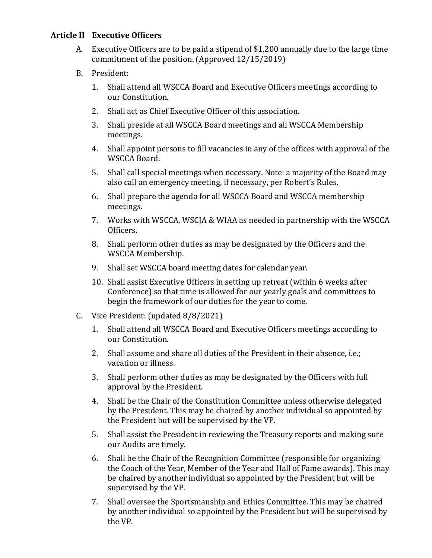#### **Article II Executive Officers**

- A. Executive Officers are to be paid a stipend of \$1,200 annually due to the large time commitment of the position. (Approved  $12/15/2019$ )
- B. President:
	- 1. Shall attend all WSCCA Board and Executive Officers meetings according to our Constitution.
	- 2. Shall act as Chief Executive Officer of this association.
	- 3. Shall preside at all WSCCA Board meetings and all WSCCA Membership meetings.
	- 4. Shall appoint persons to fill vacancies in any of the offices with approval of the WSCCA Board.
	- 5. Shall call special meetings when necessary. Note: a majority of the Board may also call an emergency meeting, if necessary, per Robert's Rules.
	- 6. Shall prepare the agenda for all WSCCA Board and WSCCA membership meetings.
	- 7. Works with WSCCA, WSCJA & WIAA as needed in partnership with the WSCCA Officers.
	- 8. Shall perform other duties as may be designated by the Officers and the WSCCA Membership.
	- 9. Shall set WSCCA board meeting dates for calendar year.
	- 10. Shall assist Executive Officers in setting up retreat (within 6 weeks after Conference) so that time is allowed for our yearly goals and committees to begin the framework of our duties for the year to come.
- C. Vice President: (updated 8/8/2021)
	- 1. Shall attend all WSCCA Board and Executive Officers meetings according to our Constitution.
	- 2. Shall assume and share all duties of the President in their absence, i.e.; vacation or illness.
	- 3. Shall perform other duties as may be designated by the Officers with full approval by the President.
	- 4. Shall be the Chair of the Constitution Committee unless otherwise delegated by the President. This may be chaired by another individual so appointed by the President but will be supervised by the VP.
	- 5. Shall assist the President in reviewing the Treasury reports and making sure our Audits are timely.
	- 6. Shall be the Chair of the Recognition Committee (responsible for organizing the Coach of the Year, Member of the Year and Hall of Fame awards). This may be chaired by another individual so appointed by the President but will be supervised by the VP.
	- 7. Shall oversee the Sportsmanship and Ethics Committee. This may be chaired by another individual so appointed by the President but will be supervised by the VP.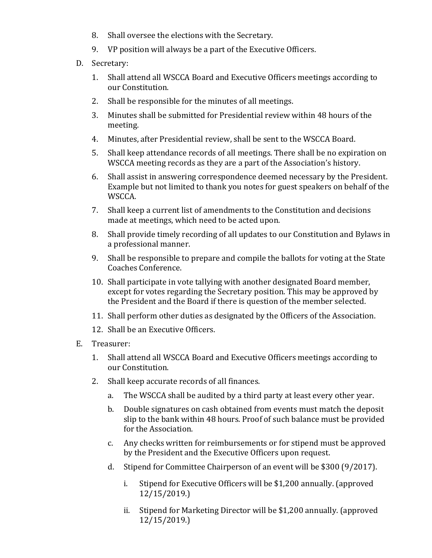- 8. Shall oversee the elections with the Secretary.
- 9. VP position will always be a part of the Executive Officers.
- D. Secretary:
	- 1. Shall attend all WSCCA Board and Executive Officers meetings according to our Constitution.
	- 2. Shall be responsible for the minutes of all meetings.
	- 3. Minutes shall be submitted for Presidential review within 48 hours of the meeting.
	- 4. Minutes, after Presidential review, shall be sent to the WSCCA Board.
	- 5. Shall keep attendance records of all meetings. There shall be no expiration on WSCCA meeting records as they are a part of the Association's history.
	- 6. Shall assist in answering correspondence deemed necessary by the President. Example but not limited to thank you notes for guest speakers on behalf of the WSCCA.
	- 7. Shall keep a current list of amendments to the Constitution and decisions made at meetings, which need to be acted upon.
	- 8. Shall provide timely recording of all updates to our Constitution and Bylaws in a professional manner.
	- 9. Shall be responsible to prepare and compile the ballots for voting at the State Coaches Conference.
	- 10. Shall participate in vote tallying with another designated Board member, except for votes regarding the Secretary position. This may be approved by the President and the Board if there is question of the member selected.
	- 11. Shall perform other duties as designated by the Officers of the Association.
	- 12. Shall be an Executive Officers.
- E. Treasurer:
	- 1. Shall attend all WSCCA Board and Executive Officers meetings according to our Constitution.
	- 2. Shall keep accurate records of all finances.
		- a. The WSCCA shall be audited by a third party at least every other year.
		- b. Double signatures on cash obtained from events must match the deposit slip to the bank within 48 hours. Proof of such balance must be provided for the Association.
		- c. Any checks written for reimbursements or for stipend must be approved by the President and the Executive Officers upon request.
		- d. Stipend for Committee Chairperson of an event will be \$300 (9/2017).
			- i. Stipend for Executive Officers will be \$1,200 annually. (approved  $12/15/2019.$
			- ii. Stipend for Marketing Director will be \$1,200 annually. (approved 12/15/2019.)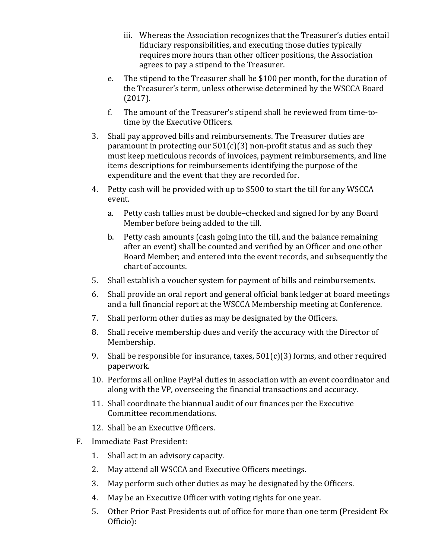- iii. Whereas the Association recognizes that the Treasurer's duties entail fiduciary responsibilities, and executing those duties typically requires more hours than other officer positions, the Association agrees to pay a stipend to the Treasurer.
- e. The stipend to the Treasurer shall be \$100 per month, for the duration of the Treasurer's term, unless otherwise determined by the WSCCA Board (2017).
- f. The amount of the Treasurer's stipend shall be reviewed from time-totime by the Executive Officers.
- 3. Shall pay approved bills and reimbursements. The Treasurer duties are paramount in protecting our  $501(c)(3)$  non-profit status and as such they must keep meticulous records of invoices, payment reimbursements, and line items descriptions for reimbursements identifying the purpose of the expenditure and the event that they are recorded for.
- 4. Petty cash will be provided with up to \$500 to start the till for any WSCCA event.
	- a. Petty cash tallies must be double-checked and signed for by any Board Member before being added to the till.
	- b. Petty cash amounts (cash going into the till, and the balance remaining after an event) shall be counted and verified by an Officer and one other Board Member; and entered into the event records, and subsequently the chart of accounts.
- 5. Shall establish a voucher system for payment of bills and reimbursements.
- 6. Shall provide an oral report and general official bank ledger at board meetings and a full financial report at the WSCCA Membership meeting at Conference.
- 7. Shall perform other duties as may be designated by the Officers.
- 8. Shall receive membership dues and verify the accuracy with the Director of Membership.
- 9. Shall be responsible for insurance, taxes,  $501(c)(3)$  forms, and other required paperwork.
- 10. Performs all online PayPal duties in association with an event coordinator and along with the VP, overseeing the financial transactions and accuracy.
- 11. Shall coordinate the biannual audit of our finances per the Executive Committee recommendations.
- 12. Shall be an Executive Officers.
- F. Immediate Past President:
	- 1. Shall act in an advisory capacity.
	- 2. May attend all WSCCA and Executive Officers meetings.
	- 3. May perform such other duties as may be designated by the Officers.
	- 4. May be an Executive Officer with voting rights for one year.
	- 5. Other Prior Past Presidents out of office for more than one term (President Ex Officio):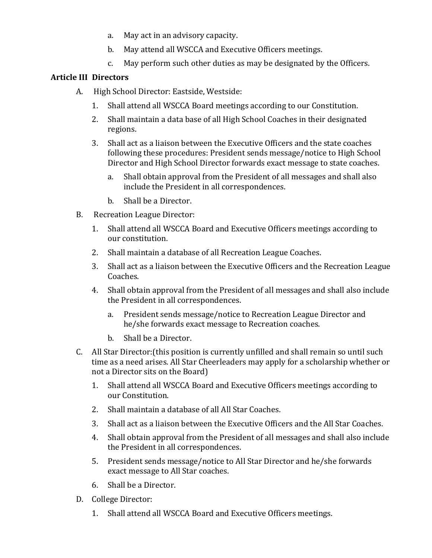- a. May act in an advisory capacity.
- b. May attend all WSCCA and Executive Officers meetings.
- c. May perform such other duties as may be designated by the Officers.

#### **Article III Directors**

- A. High School Director: Eastside, Westside:
	- 1. Shall attend all WSCCA Board meetings according to our Constitution.
	- 2. Shall maintain a data base of all High School Coaches in their designated regions.
	- 3. Shall act as a liaison between the Executive Officers and the state coaches following these procedures: President sends message/notice to High School Director and High School Director forwards exact message to state coaches.
		- a. Shall obtain approval from the President of all messages and shall also include the President in all correspondences.
		- b. Shall be a Director.
- B. Recreation League Director:
	- 1. Shall attend all WSCCA Board and Executive Officers meetings according to our constitution.
	- 2. Shall maintain a database of all Recreation League Coaches.
	- 3. Shall act as a liaison between the Executive Officers and the Recreation League Coaches.
	- 4. Shall obtain approval from the President of all messages and shall also include the President in all correspondences.
		- a. President sends message/notice to Recreation League Director and he/she forwards exact message to Recreation coaches.
		- b. Shall be a Director.
- C. All Star Director: (this position is currently unfilled and shall remain so until such time as a need arises. All Star Cheerleaders may apply for a scholarship whether or not a Director sits on the Board)
	- 1. Shall attend all WSCCA Board and Executive Officers meetings according to our Constitution.
	- 2. Shall maintain a database of all All Star Coaches.
	- 3. Shall act as a liaison between the Executive Officers and the All Star Coaches.
	- 4. Shall obtain approval from the President of all messages and shall also include the President in all correspondences.
	- 5. President sends message/notice to All Star Director and he/she forwards exact message to All Star coaches.
	- 6. Shall be a Director.
- D. College Director:
	- 1. Shall attend all WSCCA Board and Executive Officers meetings.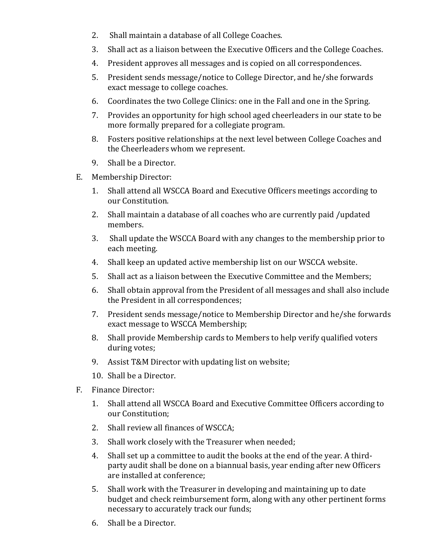- 2. Shall maintain a database of all College Coaches.
- 3. Shall act as a liaison between the Executive Officers and the College Coaches.
- 4. President approves all messages and is copied on all correspondences.
- 5. President sends message/notice to College Director, and he/she forwards exact message to college coaches.
- 6. Coordinates the two College Clinics: one in the Fall and one in the Spring.
- 7. Provides an opportunity for high school aged cheerleaders in our state to be more formally prepared for a collegiate program.
- 8. Fosters positive relationships at the next level between College Coaches and the Cheerleaders whom we represent.
- 9. Shall be a Director.
- E. Membership Director:
	- 1. Shall attend all WSCCA Board and Executive Officers meetings according to our Constitution.
	- 2. Shall maintain a database of all coaches who are currently paid /updated members.
	- 3. Shall update the WSCCA Board with any changes to the membership prior to each meeting.
	- 4. Shall keep an updated active membership list on our WSCCA website.
	- 5. Shall act as a liaison between the Executive Committee and the Members;
	- 6. Shall obtain approval from the President of all messages and shall also include the President in all correspondences;
	- 7. President sends message/notice to Membership Director and he/she forwards exact message to WSCCA Membership;
	- 8. Shall provide Membership cards to Members to help verify qualified voters during votes;
	- 9. Assist T&M Director with updating list on website;
	- 10. Shall be a Director.
- F. Finance Director:
	- 1. Shall attend all WSCCA Board and Executive Committee Officers according to our Constitution;
	- 2. Shall review all finances of WSCCA;
	- 3. Shall work closely with the Treasurer when needed;
	- 4. Shall set up a committee to audit the books at the end of the year. A thirdparty audit shall be done on a biannual basis, year ending after new Officers are installed at conference:
	- 5. Shall work with the Treasurer in developing and maintaining up to date budget and check reimbursement form, along with any other pertinent forms necessary to accurately track our funds;
	- 6. Shall be a Director.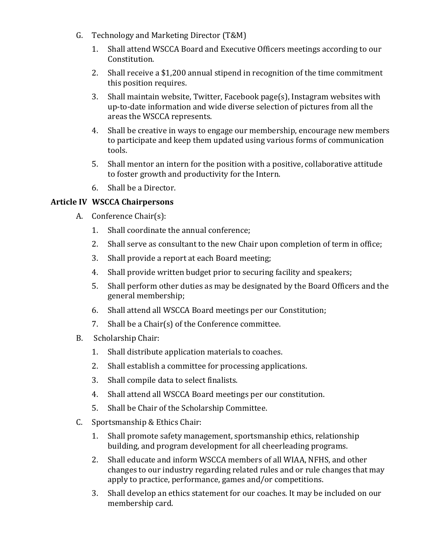- G. Technology and Marketing Director (T&M)
	- 1. Shall attend WSCCA Board and Executive Officers meetings according to our Constitution.
	- 2. Shall receive a \$1,200 annual stipend in recognition of the time commitment this position requires.
	- 3. Shall maintain website, Twitter, Facebook page(s), Instagram websites with up-to-date information and wide diverse selection of pictures from all the areas the WSCCA represents.
	- 4. Shall be creative in ways to engage our membership, encourage new members to participate and keep them updated using various forms of communication tools.
	- 5. Shall mentor an intern for the position with a positive, collaborative attitude to foster growth and productivity for the Intern.
	- 6. Shall be a Director.

## **Article IV WSCCA Chairpersons**

- A. Conference Chair(s):
	- 1. Shall coordinate the annual conference:
	- 2. Shall serve as consultant to the new Chair upon completion of term in office;
	- 3. Shall provide a report at each Board meeting;
	- 4. Shall provide written budget prior to securing facility and speakers;
	- 5. Shall perform other duties as may be designated by the Board Officers and the general membership;
	- 6. Shall attend all WSCCA Board meetings per our Constitution;
	- 7. Shall be a Chair(s) of the Conference committee.
- B. Scholarship Chair:
	- 1. Shall distribute application materials to coaches.
	- 2. Shall establish a committee for processing applications.
	- 3. Shall compile data to select finalists.
	- 4. Shall attend all WSCCA Board meetings per our constitution.
	- 5. Shall be Chair of the Scholarship Committee.
- C. Sportsmanship & Ethics Chair:
	- 1. Shall promote safety management, sportsmanship ethics, relationship building, and program development for all cheerleading programs.
	- 2. Shall educate and inform WSCCA members of all WIAA, NFHS, and other changes to our industry regarding related rules and or rule changes that may apply to practice, performance, games and/or competitions.
	- 3. Shall develop an ethics statement for our coaches. It may be included on our membership card.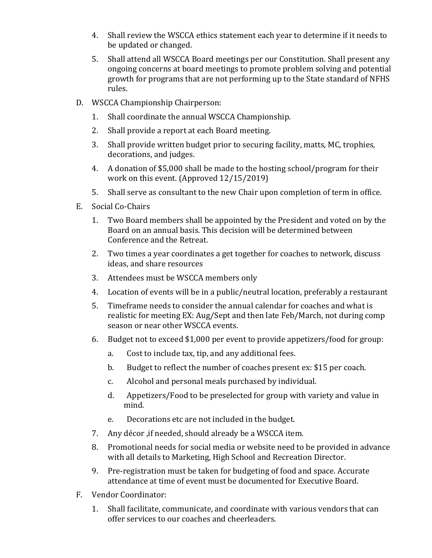- 4. Shall review the WSCCA ethics statement each year to determine if it needs to be updated or changed.
- 5. Shall attend all WSCCA Board meetings per our Constitution. Shall present any ongoing concerns at board meetings to promote problem solving and potential growth for programs that are not performing up to the State standard of NFHS rules.
- D. WSCCA Championship Chairperson:
	- 1. Shall coordinate the annual WSCCA Championship.
	- 2. Shall provide a report at each Board meeting.
	- 3. Shall provide written budget prior to securing facility, matts, MC, trophies, decorations, and judges.
	- 4. A donation of \$5,000 shall be made to the hosting school/program for their work on this event. (Approved  $12/15/2019$ )
	- 5. Shall serve as consultant to the new Chair upon completion of term in office.
- E. Social Co-Chairs
	- 1. Two Board members shall be appointed by the President and voted on by the Board on an annual basis. This decision will be determined between Conference and the Retreat.
	- 2. Two times a year coordinates a get together for coaches to network, discuss ideas, and share resources
	- 3. Attendees must be WSCCA members only
	- 4. Location of events will be in a public/neutral location, preferably a restaurant
	- 5. Timeframe needs to consider the annual calendar for coaches and what is realistic for meeting EX: Aug/Sept and then late Feb/March, not during comp season or near other WSCCA events.
	- 6. Budget not to exceed \$1,000 per event to provide appetizers/food for group:
		- a. Cost to include tax, tip, and any additional fees.
		- b. Budget to reflect the number of coaches present ex: \$15 per coach.
		- c. Alcohol and personal meals purchased by individual.
		- d. Appetizers/Food to be preselected for group with variety and value in mind.
		- e. Decorations etc are not included in the budget.
	- 7. Any décor, if needed, should already be a WSCCA item.
	- 8. Promotional needs for social media or website need to be provided in advance with all details to Marketing, High School and Recreation Director.
	- 9. Pre-registration must be taken for budgeting of food and space. Accurate attendance at time of event must be documented for Executive Board.
- F. Vendor Coordinator:
	- 1. Shall facilitate, communicate, and coordinate with various vendors that can offer services to our coaches and cheerleaders.